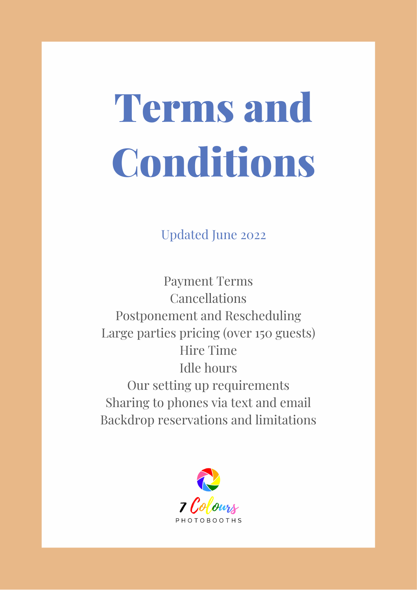# Terms and Conditions

Updated June 2022

Payment Terms Cancellations Postponement and Rescheduling Large parties pricing (over 150 guests) Hire Time Idle hours Our setting up requirements Sharing to phones via text and email Backdrop reservations and limitations

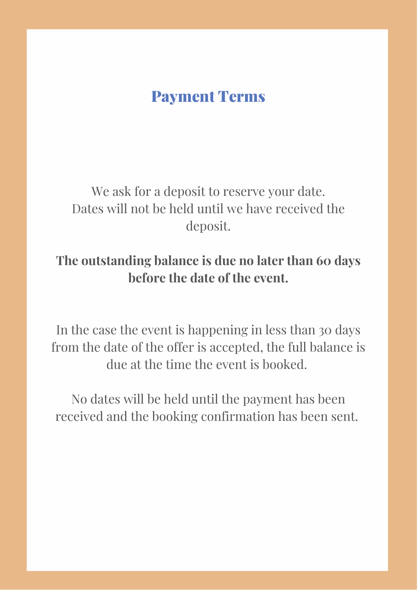#### Payment Terms

We ask for a deposit to reserve your date. Dates will not be held until we have received the deposit.

#### **The outstanding balance is due no later than 60 days before the date of the event.**

In the case the event is happening in less than 30 days from the date of the offer is accepted, the full balance is due at the time the event is booked.

No dates will be held until the payment has been received and the booking confirmation has been sent.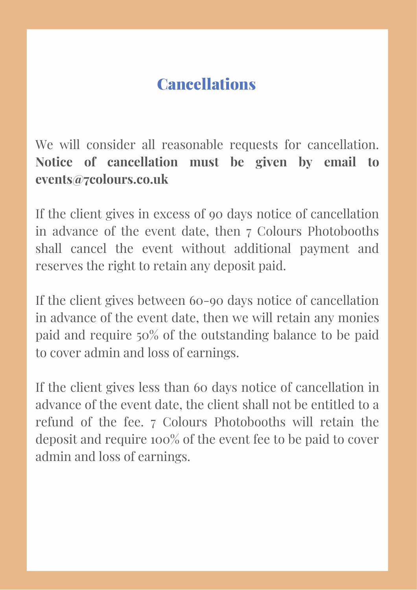# Cancellations

We will consider all reasonable requests for cancellation. **Notice of cancellation must be given by email to events@7colours.co.uk**

If the client gives in excess of 90 days notice of cancellation in advance of the event date, then 7 Colours Photobooths shall cancel the event without additional payment and reserves the right to retain any deposit paid.

If the client gives between 60-90 days notice of cancellation in advance of the event date, then we will retain any monies paid and require 50% of the outstanding balance to be paid to cover admin and loss of earnings.

If the client gives less than 60 days notice of cancellation in advance of the event date, the client shall not be entitled to a refund of the fee. 7 Colours Photobooths will retain the deposit and require 100% of the event fee to be paid to cover admin and loss of earnings.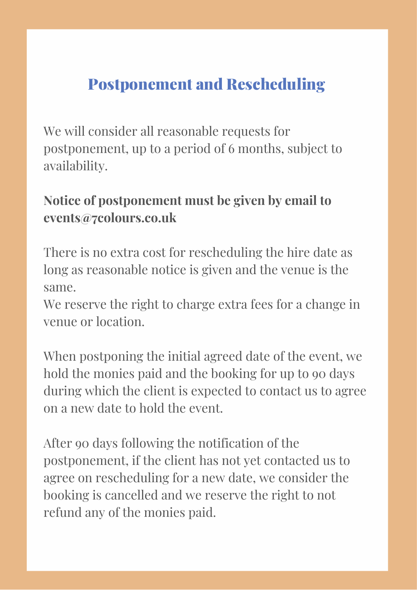# Postponement and Rescheduling

We will consider all reasonable requests for postponement, up to a period of 6 months, subject to availability.

#### **Notice of postponement must be given by email to events@7colours.co.uk**

There is no extra cost for rescheduling the hire date as long as reasonable notice is given and the venue is the same.

We reserve the right to charge extra fees for a change in venue or location.

When postponing the initial agreed date of the event, we hold the monies paid and the booking for up to 90 days during which the client is expected to contact us to agree on a new date to hold the event.

After 90 days following the notification of the postponement, if the client has not yet contacted us to agree on rescheduling for a new date, we consider the booking is cancelled and we reserve the right to not refund any of the monies paid.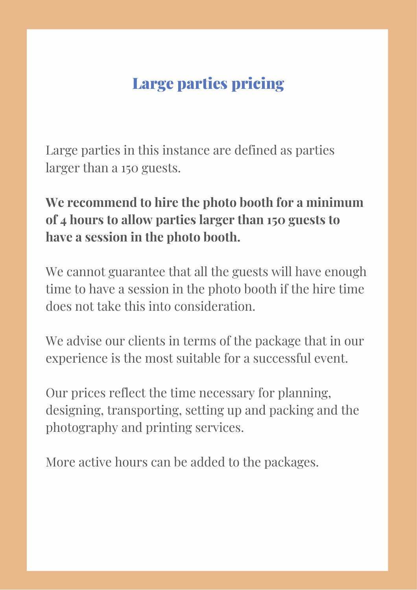# Large parties pricing

Large parties in this instance are defined as parties larger than a 150 guests.

#### **We recommend to hire the photo booth for a minimum of 4 hours to allow parties larger than 150 guests to have a session in the photo booth.**

We cannot guarantee that all the guests will have enough time to have a session in the photo booth if the hire time does not take this into consideration.

We advise our clients in terms of the package that in our experience is the most suitable for a successful event.

Our prices reflect the time necessary for planning, designing, transporting, setting up and packing and the photography and printing services.

More active hours can be added to the packages.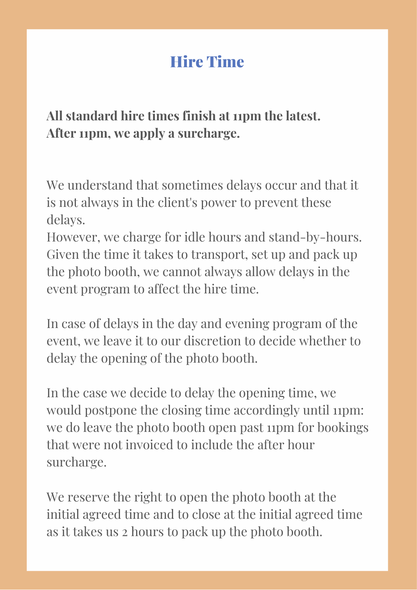# Hire Time

**All standard hire times finish at 11pm the latest. After 11pm, we apply a surcharge.**

We understand that sometimes delays occur and that it is not always in the client's power to prevent these delays.

However, we charge for idle hours and stand-by-hours. Given the time it takes to transport, set up and pack up the photo booth, we cannot always allow delays in the event program to affect the hire time.

In case of delays in the day and evening program of the event, we leave it to our discretion to decide whether to delay the opening of the photo booth.

In the case we decide to delay the opening time, we would postpone the closing time accordingly until 11pm: we do leave the photo booth open past 11pm for bookings that were not invoiced to include the after hour surcharge.

We reserve the right to open the photo booth at the initial agreed time and to close at the initial agreed time as it takes us 2 hours to pack up the photo booth.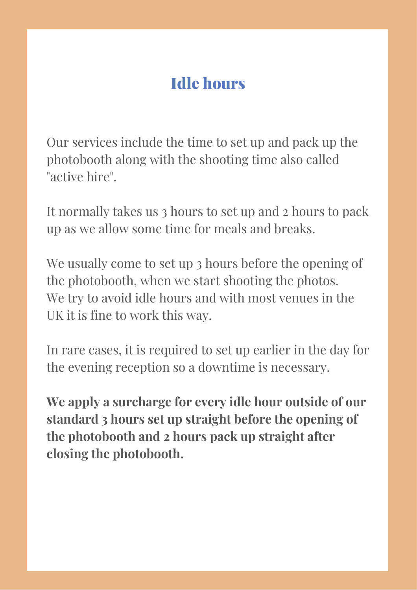## Idle hours

Our services include the time to set up and pack up the photobooth along with the shooting time also called "active hire".

It normally takes us 3 hours to set up and 2 hours to pack up as we allow some time for meals and breaks.

We usually come to set up 3 hours before the opening of the photobooth, when we start shooting the photos. We try to avoid idle hours and with most venues in the UK it is fine to work this way.

In rare cases, it is required to set up earlier in the day for the evening reception so a downtime is necessary.

**We apply a surcharge for every idle hour outside of our standard 3 hours set up straight before the opening of the photobooth and 2 hours pack up straight after closing the photobooth.**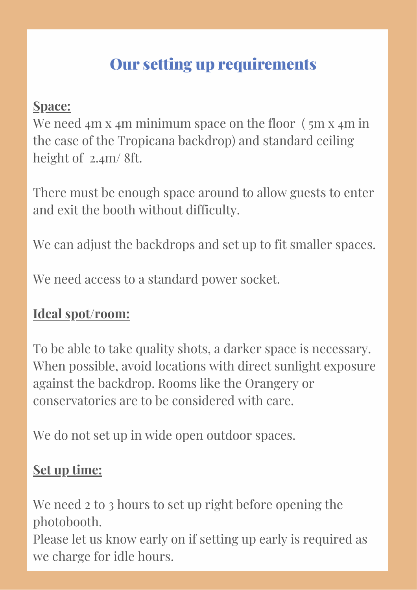# Our setting up requirements

#### **Space:**

We need 4m x 4m minimum space on the floor (5m x 4m in) the case of the Tropicana backdrop) and standard ceiling height of 2.4m/ 8ft.

There must be enough space around to allow guests to enter and exit the booth without difficulty.

We can adjust the backdrops and set up to fit smaller spaces.

We need access to a standard power socket.

#### **Ideal spot/room:**

To be able to take quality shots, a darker space is necessary. When possible, avoid locations with direct sunlight exposure against the backdrop. Rooms like the Orangery or conservatories are to be considered with care.

We do not set up in wide open outdoor spaces.

#### **Set up time:**

We need 2 to 3 hours to set up right before opening the photobooth.

Please let us know early on if setting up early is required as we charge for idle hours.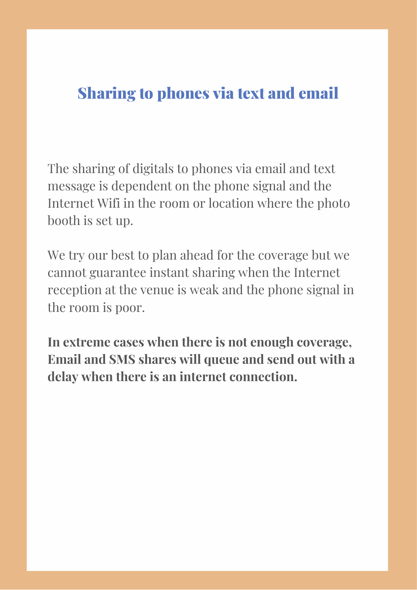## Sharing to phones via text and email

The sharing of digitals to phones via email and text message is dependent on the phone signal and the Internet Wifi in the room or location where the photo booth is set up.

We try our best to plan ahead for the coverage but we cannot guarantee instant sharing when the Internet reception at the venue is weak and the phone signal in the room is poor.

**In extreme cases when there is not enough coverage, Email and SMS shares will queue and send out with a delay when there is an internet connection.**